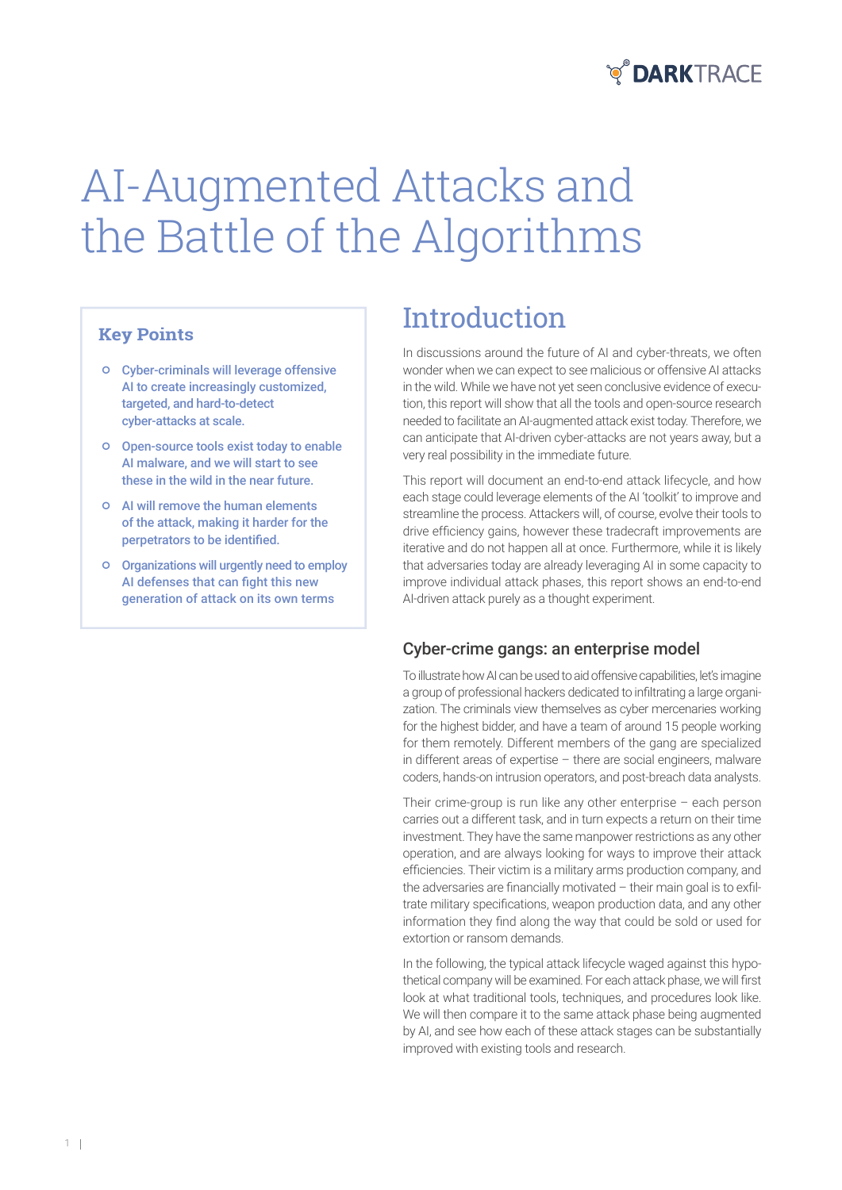

# AI-Augmented Attacks and the Battle of the Algorithms

### **Key Points**

- Cyber-criminals will leverage offensive AI to create increasingly customized, targeted, and hard-to-detect cyber-attacks at scale.
- Open-source tools exist today to enable AI malware, and we will start to see these in the wild in the near future.
- AI will remove the human elements of the attack, making it harder for the perpetrators to be identified.
- Organizations will urgently need to employ AI defenses that can fight this new generation of attack on its own terms

## **Introduction**

In discussions around the future of AI and cyber-threats, we often wonder when we can expect to see malicious or offensive AI attacks in the wild. While we have not yet seen conclusive evidence of execution, this report will show that all the tools and open-source research needed to facilitate an AI-augmented attack exist today. Therefore, we can anticipate that AI-driven cyber-attacks are not years away, but a very real possibility in the immediate future.

This report will document an end-to-end attack lifecycle, and how each stage could leverage elements of the AI 'toolkit' to improve and streamline the process. Attackers will, of course, evolve their tools to drive efficiency gains, however these tradecraft improvements are iterative and do not happen all at once. Furthermore, while it is likely that adversaries today are already leveraging AI in some capacity to improve individual attack phases, this report shows an end-to-end AI-driven attack purely as a thought experiment.

### Cyber-crime gangs: an enterprise model

To illustrate how AI can be used to aid offensive capabilities, let's imagine a group of professional hackers dedicated to infiltrating a large organization. The criminals view themselves as cyber mercenaries working for the highest bidder, and have a team of around 15 people working for them remotely. Different members of the gang are specialized in different areas of expertise – there are social engineers, malware coders, hands-on intrusion operators, and post-breach data analysts.

Their crime-group is run like any other enterprise – each person carries out a different task, and in turn expects a return on their time investment. They have the same manpower restrictions as any other operation, and are always looking for ways to improve their attack efficiencies. Their victim is a military arms production company, and the adversaries are financially motivated – their main goal is to exfiltrate military specifications, weapon production data, and any other information they find along the way that could be sold or used for extortion or ransom demands.

In the following, the typical attack lifecycle waged against this hypothetical company will be examined. For each attack phase, we will first look at what traditional tools, techniques, and procedures look like. We will then compare it to the same attack phase being augmented by AI, and see how each of these attack stages can be substantially improved with existing tools and research.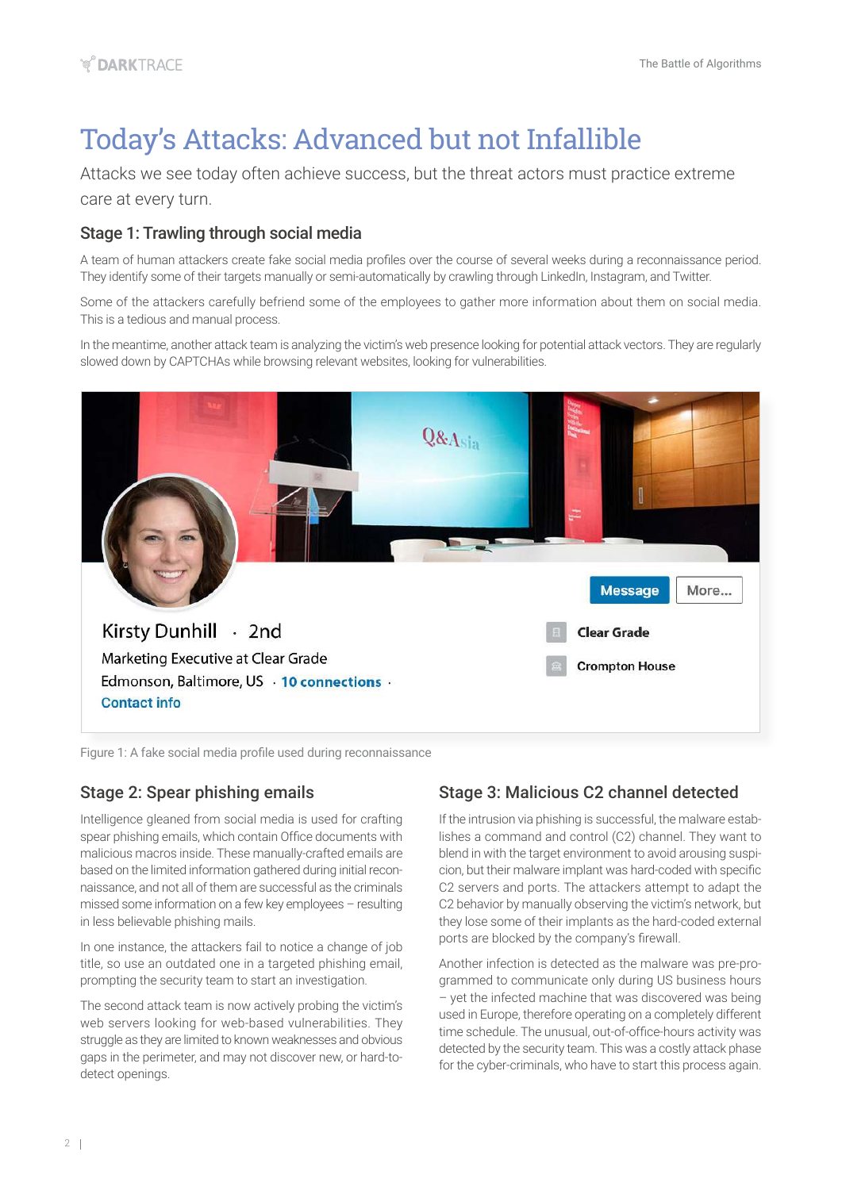# Today's Attacks: Advanced but not Infallible

Attacks we see today often achieve success, but the threat actors must practice extreme care at every turn.

### Stage 1: Trawling through social media

A team of human attackers create fake social media profiles over the course of several weeks during a reconnaissance period. They identify some of their targets manually or semi-automatically by crawling through LinkedIn, Instagram, and Twitter.

Some of the attackers carefully befriend some of the employees to gather more information about them on social media. This is a tedious and manual process.

In the meantime, another attack team is analyzing the victim's web presence looking for potential attack vectors. They are regularly slowed down by CAPTCHAs while browsing relevant websites, looking for vulnerabilities.



Figure 1: A fake social media profile used during reconnaissance

### Stage 2: Spear phishing emails

Intelligence gleaned from social media is used for crafting spear phishing emails, which contain Office documents with malicious macros inside. These manually-crafted emails are based on the limited information gathered during initial reconnaissance, and not all of them are successful as the criminals missed some information on a few key employees – resulting in less believable phishing mails.

In one instance, the attackers fail to notice a change of job title, so use an outdated one in a targeted phishing email, prompting the security team to start an investigation.

The second attack team is now actively probing the victim's web servers looking for web-based vulnerabilities. They struggle as they are limited to known weaknesses and obvious gaps in the perimeter, and may not discover new, or hard-todetect openings.

### Stage 3: Malicious C2 channel detected

If the intrusion via phishing is successful, the malware establishes a command and control (C2) channel. They want to blend in with the target environment to avoid arousing suspicion, but their malware implant was hard-coded with specific C2 servers and ports. The attackers attempt to adapt the C2 behavior by manually observing the victim's network, but they lose some of their implants as the hard-coded external ports are blocked by the company's firewall.

Another infection is detected as the malware was pre-programmed to communicate only during US business hours – yet the infected machine that was discovered was being used in Europe, therefore operating on a completely different time schedule. The unusual, out-of-office-hours activity was detected by the security team. This was a costly attack phase for the cyber-criminals, who have to start this process again.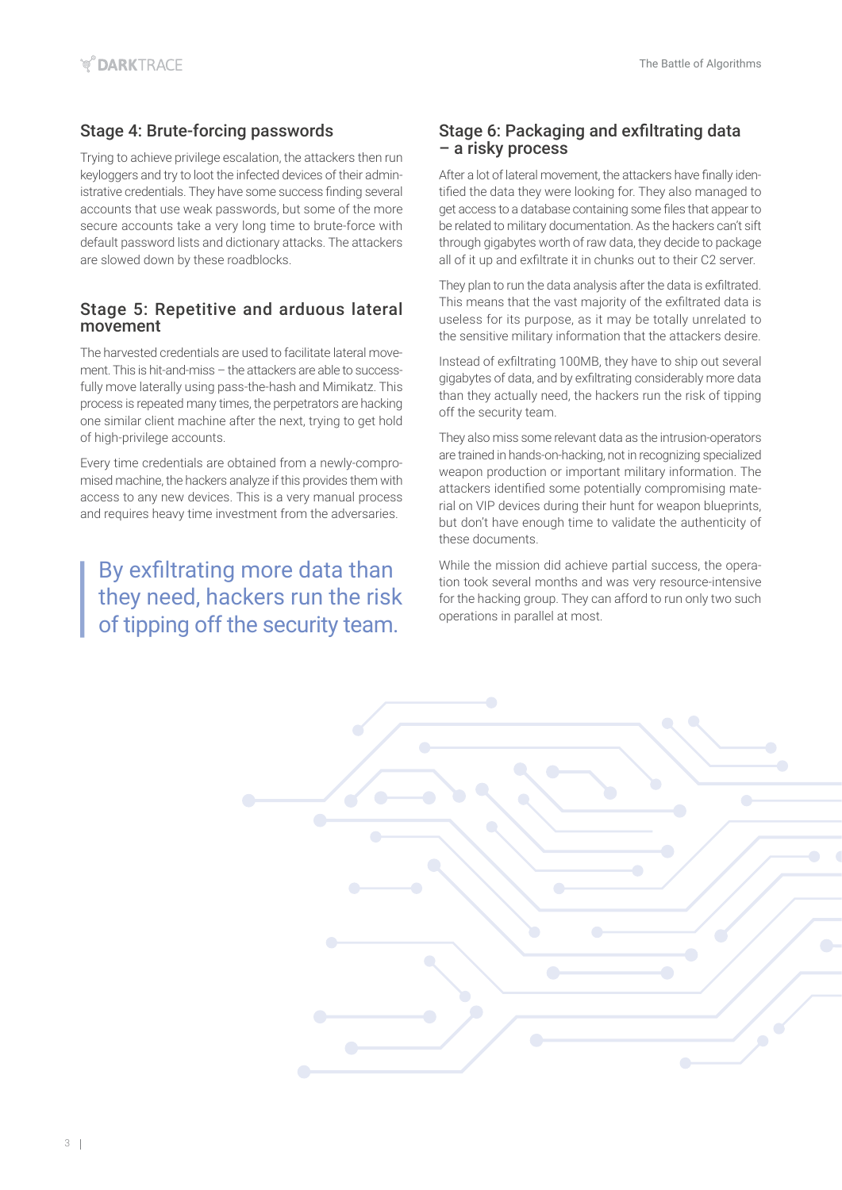### Stage 4: Brute-forcing passwords

Trying to achieve privilege escalation, the attackers then run keyloggers and try to loot the infected devices of their administrative credentials. They have some success finding several accounts that use weak passwords, but some of the more secure accounts take a very long time to brute-force with default password lists and dictionary attacks. The attackers are slowed down by these roadblocks.

### Stage 5: Repetitive and arduous lateral movement

The harvested credentials are used to facilitate lateral movement. This is hit-and-miss – the attackers are able to successfully move laterally using pass-the-hash and Mimikatz. This process is repeated many times, the perpetrators are hacking one similar client machine after the next, trying to get hold of high-privilege accounts.

Every time credentials are obtained from a newly-compromised machine, the hackers analyze if this provides them with access to any new devices. This is a very manual process and requires heavy time investment from the adversaries.

By exfiltrating more data than they need, hackers run the risk of tipping off the security team.

#### Stage 6: Packaging and exfiltrating data – a risky process

After a lot of lateral movement, the attackers have finally identified the data they were looking for. They also managed to get access to a database containing some files that appear to be related to military documentation. As the hackers can't sift through gigabytes worth of raw data, they decide to package all of it up and exfiltrate it in chunks out to their C2 server.

They plan to run the data analysis after the data is exfiltrated. This means that the vast majority of the exfiltrated data is useless for its purpose, as it may be totally unrelated to the sensitive military information that the attackers desire.

Instead of exfiltrating 100MB, they have to ship out several gigabytes of data, and by exfiltrating considerably more data than they actually need, the hackers run the risk of tipping off the security team.

They also miss some relevant data as the intrusion-operators are trained in hands-on-hacking, not in recognizing specialized weapon production or important military information. The attackers identified some potentially compromising material on VIP devices during their hunt for weapon blueprints, but don't have enough time to validate the authenticity of these documents.

While the mission did achieve partial success, the operation took several months and was very resource-intensive for the hacking group. They can afford to run only two such operations in parallel at most.

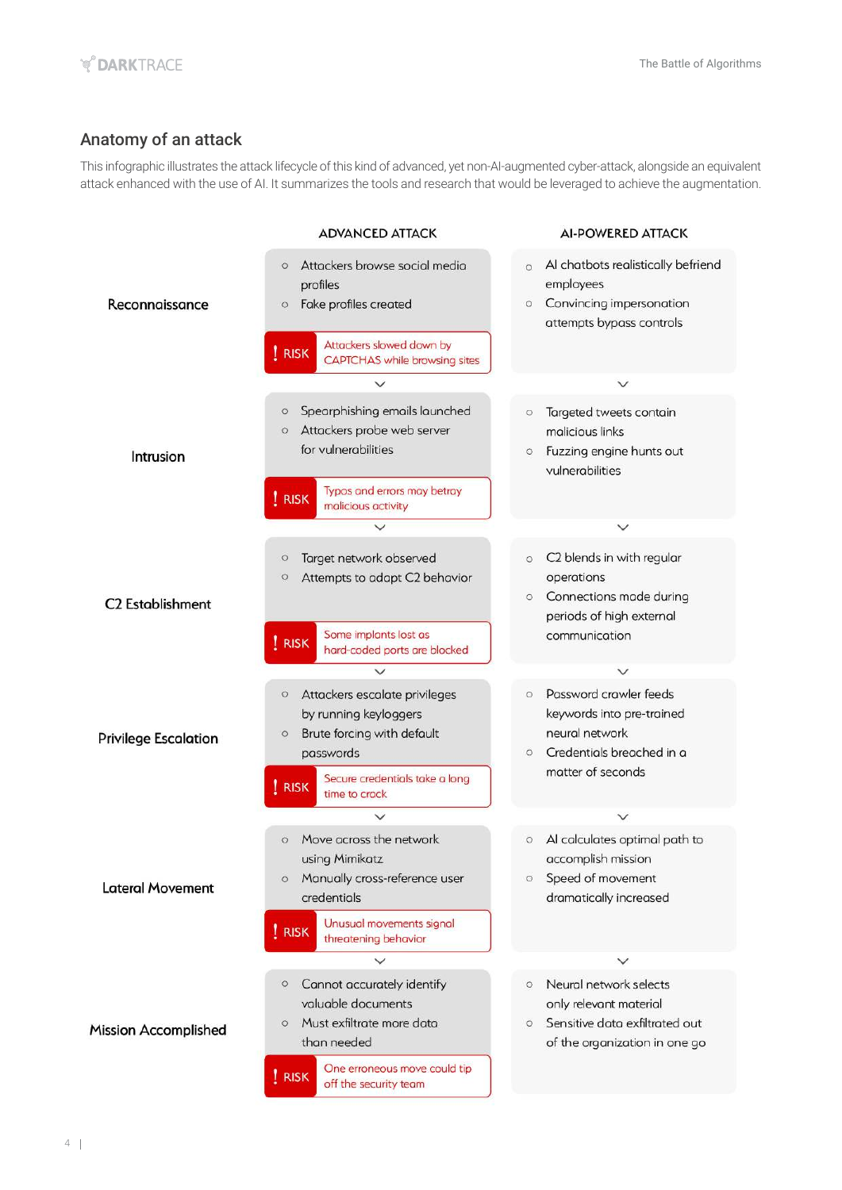### Anatomy of an attack

This infographic illustrates the attack lifecycle of this kind of advanced, yet non-AI-augmented cyber-attack, alongside an equivalent attack enhanced with the use of AI. It summarizes the tools and research that would be leveraged to achieve the augmentation.

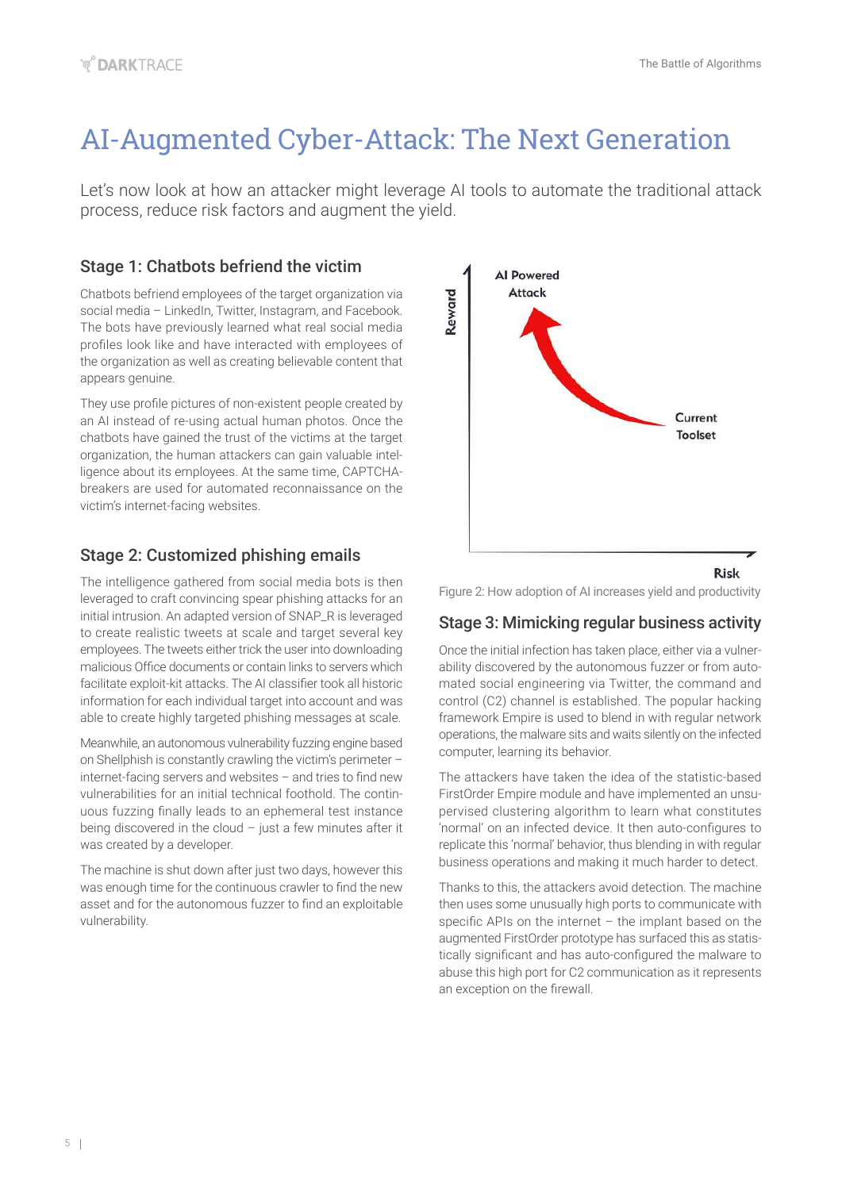# AI-Augmented Cyber-Attack: The Next Generation

Let's now look at how an attacker might leverage AI tools to automate the traditional attack process, reduce risk factors and augment the yield.

### Stage 1: Chatbots befriend the victim

Chatbots befriend employees of the target organization via social media – LinkedIn, Twitter, Instagram, and Facebook. The bots have previously learned what real social media profiles look like and have interacted with employees of the organization as well as creating believable content that appears genuine.

They use profile pictures of non-existent people created by an AI instead of re-using actual human photos. Once the chatbots have gained the trust of the victims at the target organization, the human attackers can gain valuable intelligence about its employees. At the same time, CAPTCHAbreakers are used for automated reconnaissance on the victim's internet-facing websites.

### Stage 2: Customized phishing emails

The intelligence gathered from social media bots is then leveraged to craft convincing spear phishing attacks for an initial intrusion. An adapted version of SNAP\_R is leveraged to create realistic tweets at scale and target several key employees. The tweets either trick the user into downloading malicious Office documents or contain links to servers which facilitate exploit-kit attacks. The AI classifier took all historic information for each individual target into account and was able to create highly targeted phishing messages at scale.

Meanwhile, an autonomous vulnerability fuzzing engine based on Shellphish is constantly crawling the victim's perimeter – internet-facing servers and websites – and tries to find new vulnerabilities for an initial technical foothold. The continuous fuzzing finally leads to an ephemeral test instance being discovered in the cloud  $-$  just a few minutes after it was created by a developer.

The machine is shut down after just two days, however this was enough time for the continuous crawler to find the new asset and for the autonomous fuzzer to find an exploitable vulnerability.



Figure 2: How adoption of AI increases yield and productivity

### Stage 3: Mimicking regular business activity

Once the initial infection has taken place, either via a vulnerability discovered by the autonomous fuzzer or from automated social engineering via Twitter, the command and control (C2) channel is established. The popular hacking framework Empire is used to blend in with regular network operations, the malware sits and waits silently on the infected computer, learning its behavior.

The attackers have taken the idea of the statistic-based FirstOrder Empire module and have implemented an unsupervised clustering algorithm to learn what constitutes 'normal' on an infected device. It then auto-configures to replicate this 'normal' behavior, thus blending in with regular business operations and making it much harder to detect.

Thanks to this, the attackers avoid detection. The machine then uses some unusually high ports to communicate with specific APIs on the internet – the implant based on the augmented FirstOrder prototype has surfaced this as statistically significant and has auto-configured the malware to abuse this high port for C2 communication as it represents an exception on the firewall.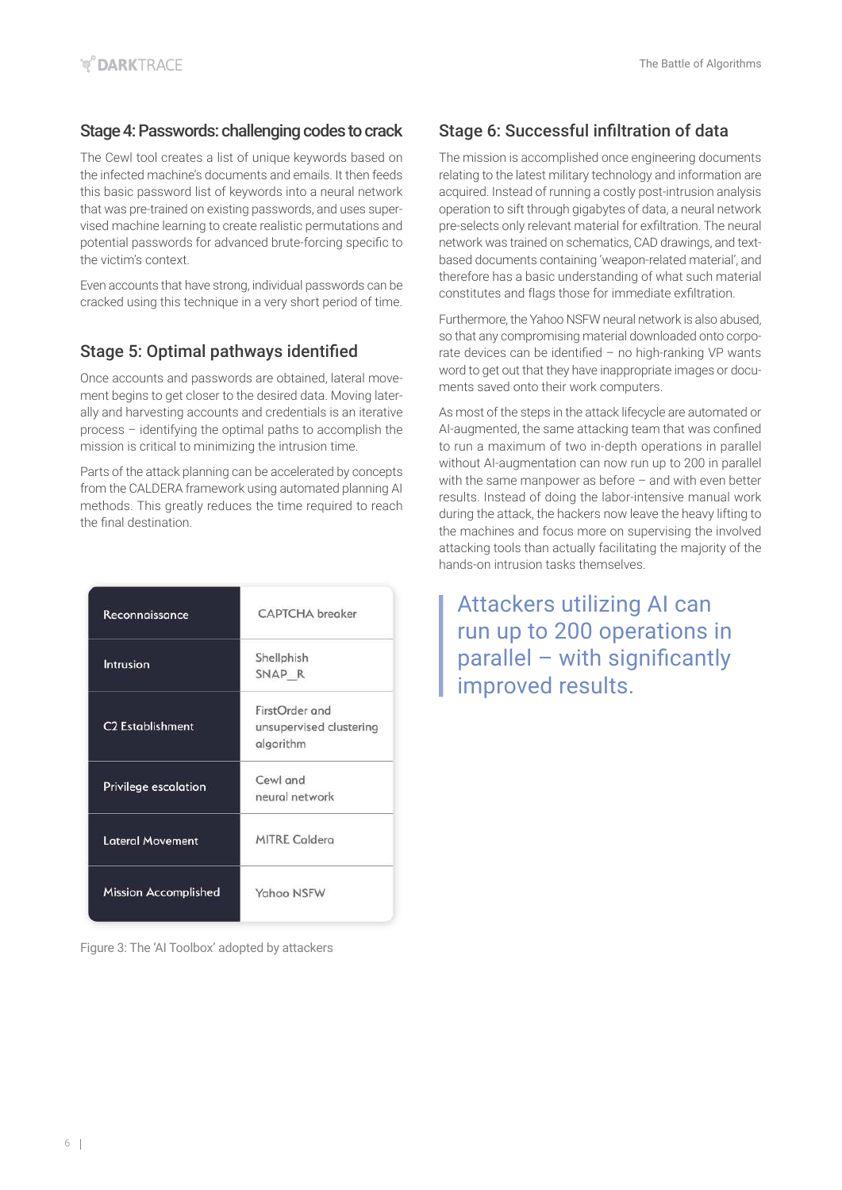### Stage 4: Passwords: challenging codes to crack

The Cewl tool creates a list of unique keywords based on the infected machine's documents and emails. It then feeds this basic password list of keywords into a neural network that was pre-trained on existing passwords, and uses supervised machine learning to create realistic permutations and potential passwords for advanced brute-forcing specific to the victim's context.

Even accounts that have strong, individual passwords can be cracked using this technique in a very short period of time.

### Stage 5: Optimal pathways identified

Once accounts and passwords are obtained, lateral movement begins to get closer to the desired data. Moving laterally and harvesting accounts and credentials is an iterative process – identifying the optimal paths to accomplish the mission is critical to minimizing the intrusion time.

Parts of the attack planning can be accelerated by concepts from the CALDERA framework using automated planning AI methods. This greatly reduces the time required to reach the final destination.

| Reconnaissance              | <b>CAPTCHA</b> breaker                                 |
|-----------------------------|--------------------------------------------------------|
| Intrusion                   | Shellphish<br>SNAP R                                   |
| <b>C2 Establishment</b>     | FirstOrder and<br>unsupervised clustering<br>algorithm |
| <b>Privilege escalation</b> | Cewl and<br>neural network                             |
| <b>Lateral Movement</b>     | <b>MITRE Caldera</b>                                   |
| <b>Mission Accomplished</b> | Yahoo NSFW                                             |

Figure 3: The 'AI Toolbox' adopted by attackers

### Stage 6: Successful infiltration of data

The mission is accomplished once engineering documents relating to the latest military technology and information are acquired. Instead of running a costly post-intrusion analysis operation to sift through gigabytes of data, a neural network pre-selects only relevant material for exfiltration. The neural network was trained on schematics, CAD drawings, and textbased documents containing 'weapon-related material', and therefore has a basic understanding of what such material constitutes and flags those for immediate exfiltration.

Furthermore, the Yahoo NSFW neural network is also abused, so that any compromising material downloaded onto corporate devices can be identified – no high-ranking VP wants word to get out that they have inappropriate images or documents saved onto their work computers.

As most of the steps in the attack lifecycle are automated or AI-augmented, the same attacking team that was confined to run a maximum of two in-depth operations in parallel without AI-augmentation can now run up to 200 in parallel with the same manpower as before – and with even better results. Instead of doing the labor-intensive manual work during the attack, the hackers now leave the heavy lifting to the machines and focus more on supervising the involved attacking tools than actually facilitating the majority of the hands-on intrusion tasks themselves.

Attackers utilizing AI can run up to 200 operations in parallel – with significantly improved results.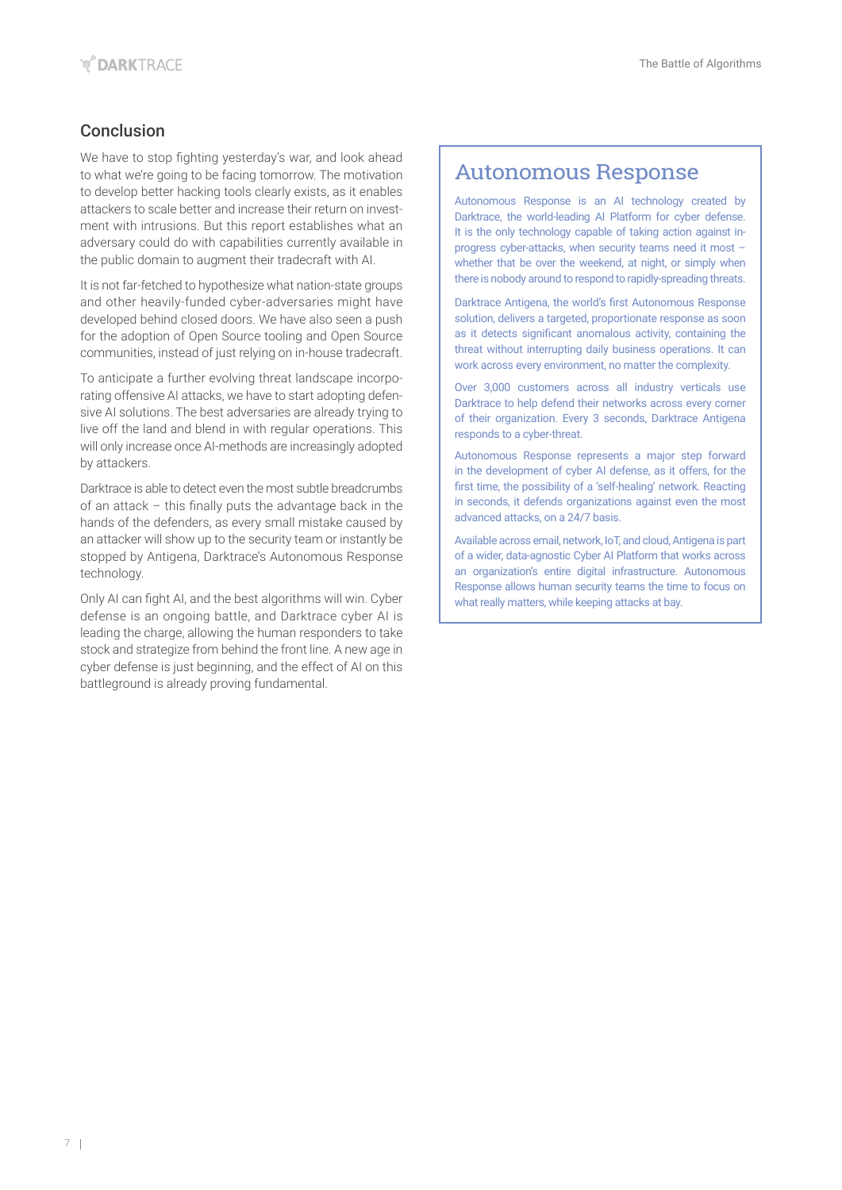### Conclusion

We have to stop fighting yesterday's war, and look ahead to what we're going to be facing tomorrow. The motivation to develop better hacking tools clearly exists, as it enables attackers to scale better and increase their return on investment with intrusions. But this report establishes what an adversary could do with capabilities currently available in the public domain to augment their tradecraft with AI.

It is not far-fetched to hypothesize what nation-state groups and other heavily-funded cyber-adversaries might have developed behind closed doors. We have also seen a push for the adoption of Open Source tooling and Open Source communities, instead of just relying on in-house tradecraft.

To anticipate a further evolving threat landscape incorporating offensive AI attacks, we have to start adopting defensive AI solutions. The best adversaries are already trying to live off the land and blend in with regular operations. This will only increase once AI-methods are increasingly adopted by attackers.

Darktrace is able to detect even the most subtle breadcrumbs of an attack – this finally puts the advantage back in the hands of the defenders, as every small mistake caused by an attacker will show up to the security team or instantly be stopped by Antigena, Darktrace's Autonomous Response technology.

Only AI can fight AI, and the best algorithms will win. Cyber defense is an ongoing battle, and Darktrace cyber AI is leading the charge, allowing the human responders to take stock and strategize from behind the front line. A new age in cyber defense is just beginning, and the effect of AI on this battleground is already proving fundamental.

### Autonomous Response

Autonomous Response is an AI technology created by Darktrace, the world-leading AI Platform for cyber defense. It is the only technology capable of taking action against inprogress cyber-attacks, when security teams need it most – whether that be over the weekend, at night, or simply when there is nobody around to respond to rapidly-spreading threats.

Darktrace Antigena, the world's first Autonomous Response solution, delivers a targeted, proportionate response as soon as it detects significant anomalous activity, containing the threat without interrupting daily business operations. It can work across every environment, no matter the complexity.

Over 3,000 customers across all industry verticals use Darktrace to help defend their networks across every corner of their organization. Every 3 seconds, Darktrace Antigena responds to a cyber-threat.

Autonomous Response represents a major step forward in the development of cyber AI defense, as it offers, for the first time, the possibility of a 'self-healing' network. Reacting in seconds, it defends organizations against even the most advanced attacks, on a 24/7 basis.

Available across email, network, IoT, and cloud, Antigena is part of a wider, data-agnostic Cyber AI Platform that works across an organization's entire digital infrastructure. Autonomous Response allows human security teams the time to focus on what really matters, while keeping attacks at bay.